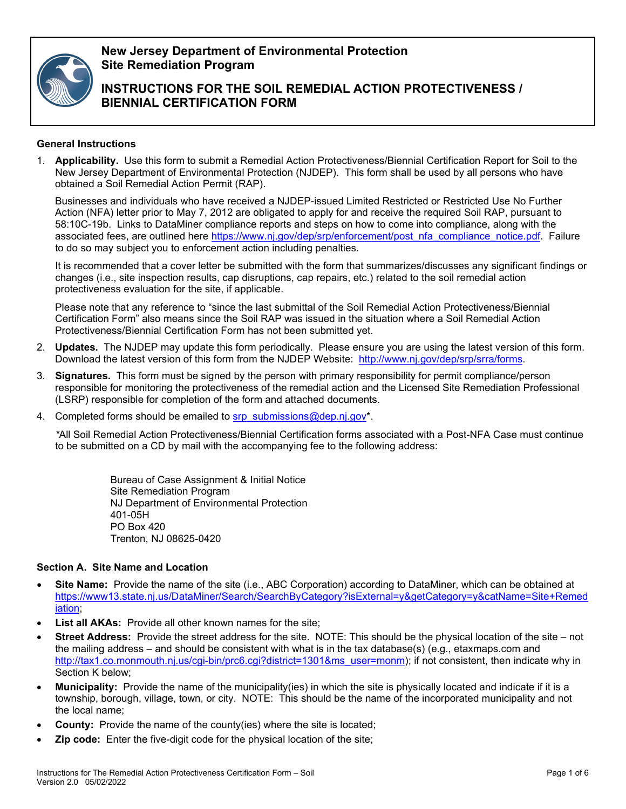

**New Jersey Department of Environmental Protection Site Remediation Program**

**INSTRUCTIONS FOR THE SOIL REMEDIAL ACTION PROTECTIVENESS / BIENNIAL CERTIFICATION FORM**

### **General Instructions**

1. **Applicability.** Use this form to submit a Remedial Action Protectiveness/Biennial Certification Report for Soil to the New Jersey Department of Environmental Protection (NJDEP). This form shall be used by all persons who have obtained a Soil Remedial Action Permit (RAP).

Businesses and individuals who have received a NJDEP-issued Limited Restricted or Restricted Use No Further Action (NFA) letter prior to May 7, 2012 are obligated to apply for and receive the required Soil RAP, pursuant to 58:10C-19b. Links to DataMiner compliance reports and steps on how to come into compliance, along with the associated fees, are outlined here [https://www.nj.gov/dep/srp/enforcement/post\\_nfa\\_compliance\\_notice.pdf.](https://www.nj.gov/dep/srp/enforcement/post_nfa_compliance_notice.pdf) Failure to do so may subject you to enforcement action including penalties.

It is recommended that a cover letter be submitted with the form that summarizes/discusses any significant findings or changes (i.e., site inspection results, cap disruptions, cap repairs, etc.) related to the soil remedial action protectiveness evaluation for the site, if applicable.

Please note that any reference to "since the last submittal of the Soil Remedial Action Protectiveness/Biennial Certification Form" also means since the Soil RAP was issued in the situation where a Soil Remedial Action Protectiveness/Biennial Certification Form has not been submitted yet.

- 2. **Updates.** The NJDEP may update this form periodically. Please ensure you are using the latest version of this form. Download the latest version of this form from the NJDEP Website: [http://www.nj.gov/dep/srp/srra/forms.](http://www.nj.gov/dep/srp/srra/forms)
- 3. **Signatures.** This form must be signed by the person with primary responsibility for permit compliance/person responsible for monitoring the protectiveness of the remedial action and the Licensed Site Remediation Professional (LSRP) responsible for completion of the form and attached documents.
- 4. Completed forms should be emailed to [srp\\_submissions@dep.nj.gov\\*](mailto:srp_submissions@dep.nj.gov).

*\**All Soil Remedial Action Protectiveness/Biennial Certification forms associated with a Post-NFA Case must continue to be submitted on a CD by mail with the accompanying fee to the following address:

> Bureau of Case Assignment & Initial Notice Site Remediation Program NJ Department of Environmental Protection 401-05H PO Box 420 Trenton, NJ 08625-0420

## **Section A. Site Name and Location**

- **Site Name:** Provide the name of the site (i.e., ABC Corporation) according to DataMiner, which can be obtained at [https://www13.state.nj.us/DataMiner/Search/SearchByCategory?isExternal=y&getCategory=y&catName=Site+Remed](https://www13.state.nj.us/DataMiner/Search/SearchByCategory?isExternal=y&getCategory=y&catName=Site+Remediation) [iation;](https://www13.state.nj.us/DataMiner/Search/SearchByCategory?isExternal=y&getCategory=y&catName=Site+Remediation)
- **List all AKAs:** Provide all other known names for the site:
- **Street Address:** Provide the street address for the site. NOTE: This should be the physical location of the site not the mailing address – and should be consistent with what is in the tax database(s) (e.g., etaxmaps.com and [http://tax1.co.monmouth.nj.us/cgi-bin/prc6.cgi?district=1301&ms\\_user=monm\)](http://tax1.co.monmouth.nj.us/cgi-bin/prc6.cgi?district=1301&ms_user=monm); if not consistent, then indicate why in Section K below;
- **Municipality:** Provide the name of the municipality(ies) in which the site is physically located and indicate if it is a township, borough, village, town, or city. NOTE: This should be the name of the incorporated municipality and not the local name;
- **County:** Provide the name of the county(ies) where the site is located;
- **Zip code:** Enter the five-digit code for the physical location of the site;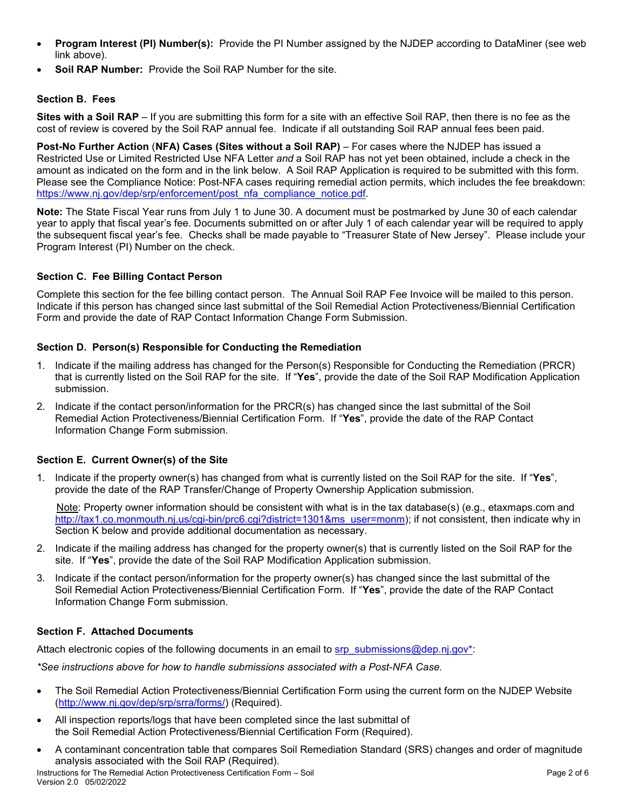- **Program Interest (PI) Number(s):** Provide the PI Number assigned by the NJDEP according to DataMiner (see web link above).
- **Soil RAP Number:** Provide the Soil RAP Number for the site.

# **Section B. Fees**

**Sites with a Soil RAP** – If you are submitting this form for a site with an effective Soil RAP, then there is no fee as the cost of review is covered by the Soil RAP annual fee. Indicate if all outstanding Soil RAP annual fees been paid.

**Post-No Further Action** (**NFA) Cases (Sites without a Soil RAP)** – For cases where the NJDEP has issued a Restricted Use or Limited Restricted Use NFA Letter *and* a Soil RAP has not yet been obtained, include a check in the amount as indicated on the form and in the link below. A Soil RAP Application is required to be submitted with this form. Please see the Compliance Notice: Post-NFA cases requiring remedial action permits, which includes the fee breakdown: https://www.nj.gov/dep/srp/enforcement/post\_nfa\_compliance\_notice.pdf

**Note:** The State Fiscal Year runs from July 1 to June 30. A document must be postmarked by June 30 of each calendar year to apply that fiscal year's fee. Documents submitted on or after July 1 of each calendar year will be required to apply the subsequent fiscal year's fee. Checks shall be made payable to "Treasurer State of New Jersey". Please include your Program Interest (PI) Number on the check.

### **Section C. Fee Billing Contact Person**

Complete this section for the fee billing contact person. The Annual Soil RAP Fee Invoice will be mailed to this person. Indicate if this person has changed since last submittal of the Soil Remedial Action Protectiveness/Biennial Certification Form and provide the date of RAP Contact Information Change Form Submission.

### **Section D. Person(s) Responsible for Conducting the Remediation**

- 1. Indicate if the mailing address has changed for the Person(s) Responsible for Conducting the Remediation (PRCR) that is currently listed on the Soil RAP for the site. If "**Yes**", provide the date of the Soil RAP Modification Application submission.
- 2. Indicate if the contact person/information for the PRCR(s) has changed since the last submittal of the Soil Remedial Action Protectiveness/Biennial Certification Form. If "**Yes**", provide the date of the RAP Contact Information Change Form submission.

### **Section E. Current Owner(s) of the Site**

1. Indicate if the property owner(s) has changed from what is currently listed on the Soil RAP for the site. If "**Yes**", provide the date of the RAP Transfer/Change of Property Ownership Application submission.

 Note: Property owner information should be consistent with what is in the tax database(s) (e.g., etaxmaps.com and [http://tax1.co.monmouth.nj.us/cgi-bin/prc6.cgi?district=1301&ms\\_user=monm\)](http://tax1.co.monmouth.nj.us/cgi-bin/prc6.cgi?district=1301&ms_user=monm); if not consistent, then indicate why in Section K below and provide additional documentation as necessary.

- 2. Indicate if the mailing address has changed for the property owner(s) that is currently listed on the Soil RAP for the site. If "**Yes**", provide the date of the Soil RAP Modification Application submission.
- 3. Indicate if the contact person/information for the property owner(s) has changed since the last submittal of the Soil Remedial Action Protectiveness/Biennial Certification Form. If "**Yes**", provide the date of the RAP Contact Information Change Form submission.

### **Section F. Attached Documents**

Attach electronic copies of the following documents in an email to [srp\\_submissions@dep.nj.gov\\*:](mailto:srp_submissions@dep.nj.gov*)

*\*See instructions above for how to handle submissions associated with a Post-NFA Case.*

- The Soil Remedial Action Protectiveness/Biennial Certification Form using the current form on the NJDEP Website [\(http://www.nj.gov/dep/srp/srra/forms/\)](http://www.nj.gov/dep/srp/srra/forms/) (Required).
- All inspection reports/logs that have been completed since the last submittal of the Soil Remedial Action Protectiveness/Biennial Certification Form (Required).
- A contaminant concentration table that compares Soil Remediation Standard (SRS) changes and order of magnitude analysis associated with the Soil RAP (Required).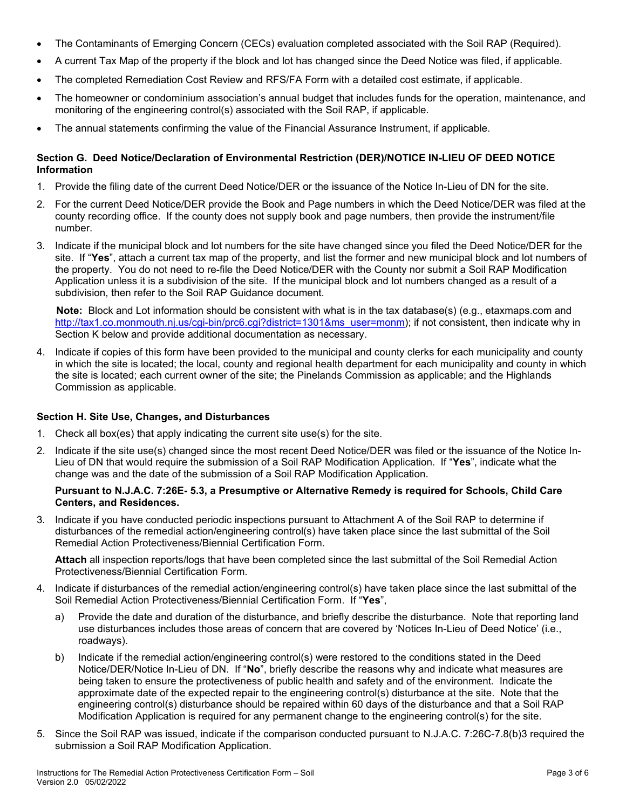- The Contaminants of Emerging Concern (CECs) evaluation completed associated with the Soil RAP (Required).
- A current Tax Map of the property if the block and lot has changed since the Deed Notice was filed, if applicable.
- The completed Remediation Cost Review and RFS/FA Form with a detailed cost estimate, if applicable.
- The homeowner or condominium association's annual budget that includes funds for the operation, maintenance, and monitoring of the engineering control(s) associated with the Soil RAP, if applicable.
- The annual statements confirming the value of the Financial Assurance Instrument, if applicable.

#### **Section G. Deed Notice/Declaration of Environmental Restriction (DER)/NOTICE IN-LIEU OF DEED NOTICE Information**

- 1. Provide the filing date of the current Deed Notice/DER or the issuance of the Notice In-Lieu of DN for the site.
- 2. For the current Deed Notice/DER provide the Book and Page numbers in which the Deed Notice/DER was filed at the county recording office. If the county does not supply book and page numbers, then provide the instrument/file number.
- 3. Indicate if the municipal block and lot numbers for the site have changed since you filed the Deed Notice/DER for the site. If "**Yes**", attach a current tax map of the property, and list the former and new municipal block and lot numbers of the property. You do not need to re-file the Deed Notice/DER with the County nor submit a Soil RAP Modification Application unless it is a subdivision of the site. If the municipal block and lot numbers changed as a result of a subdivision, then refer to the Soil RAP Guidance document.

 **Note:** Block and Lot information should be consistent with what is in the tax database(s) (e.g., etaxmaps.com and [http://tax1.co.monmouth.nj.us/cgi-bin/prc6.cgi?district=1301&ms\\_user=monm\)](http://tax1.co.monmouth.nj.us/cgi-bin/prc6.cgi?district=1301&ms_user=monm); if not consistent, then indicate why in Section K below and provide additional documentation as necessary.

4. Indicate if copies of this form have been provided to the municipal and county clerks for each municipality and county in which the site is located; the local, county and regional health department for each municipality and county in which the site is located; each current owner of the site; the Pinelands Commission as applicable; and the Highlands Commission as applicable.

#### **Section H. Site Use, Changes, and Disturbances**

- 1. Check all box(es) that apply indicating the current site use(s) for the site.
- 2. Indicate if the site use(s) changed since the most recent Deed Notice/DER was filed or the issuance of the Notice In-Lieu of DN that would require the submission of a Soil RAP Modification Application. If "**Yes**", indicate what the change was and the date of the submission of a Soil RAP Modification Application.

#### **Pursuant to N.J.A.C. 7:26E- 5.3, a Presumptive or Alternative Remedy is required for Schools, Child Care Centers, and Residences.**

3. Indicate if you have conducted periodic inspections pursuant to Attachment A of the Soil RAP to determine if disturbances of the remedial action/engineering control(s) have taken place since the last submittal of the Soil Remedial Action Protectiveness/Biennial Certification Form.

**Attach** all inspection reports/logs that have been completed since the last submittal of the Soil Remedial Action Protectiveness/Biennial Certification Form.

- 4. Indicate if disturbances of the remedial action/engineering control(s) have taken place since the last submittal of the Soil Remedial Action Protectiveness/Biennial Certification Form. If "**Yes**",
	- a) Provide the date and duration of the disturbance, and briefly describe the disturbance. Note that reporting land use disturbances includes those areas of concern that are covered by 'Notices In-Lieu of Deed Notice' (i.e., roadways).
	- b) Indicate if the remedial action/engineering control(s) were restored to the conditions stated in the Deed Notice/DER/Notice In-Lieu of DN. If "**No**", briefly describe the reasons why and indicate what measures are being taken to ensure the protectiveness of public health and safety and of the environment. Indicate the approximate date of the expected repair to the engineering control(s) disturbance at the site. Note that the engineering control(s) disturbance should be repaired within 60 days of the disturbance and that a Soil RAP Modification Application is required for any permanent change to the engineering control(s) for the site.
- 5. Since the Soil RAP was issued, indicate if the comparison conducted pursuant to N.J.A.C. 7:26C-7.8(b)3 required the submission a Soil RAP Modification Application.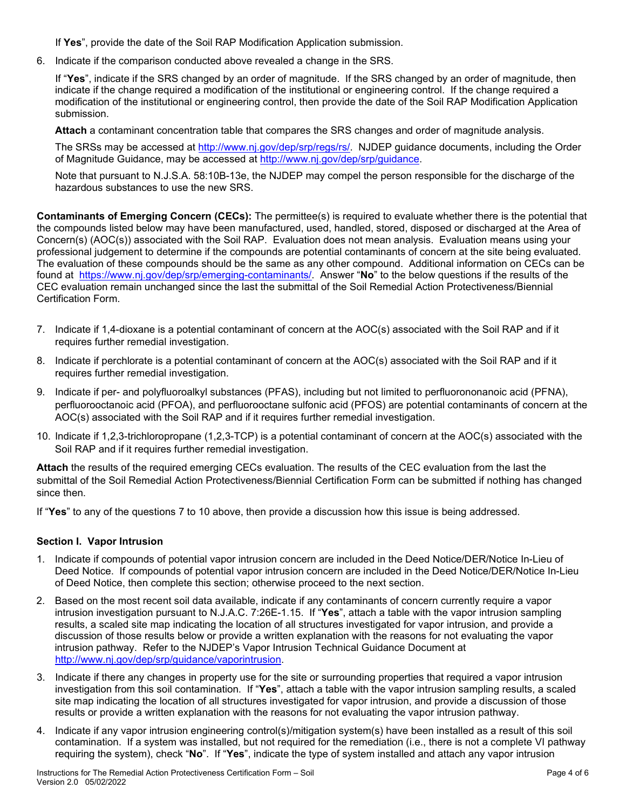If **Yes**", provide the date of the Soil RAP Modification Application submission.

6. Indicate if the comparison conducted above revealed a change in the SRS.

If "**Yes**", indicate if the SRS changed by an order of magnitude. If the SRS changed by an order of magnitude, then indicate if the change required a modification of the institutional or engineering control. If the change required a modification of the institutional or engineering control, then provide the date of the Soil RAP Modification Application submission.

**Attach** a contaminant concentration table that compares the SRS changes and order of magnitude analysis.

The SRSs may be accessed at [http://www.nj.gov/dep/srp/regs/rs/.](http://www.nj.gov/dep/srp/regs/rs/) NJDEP guidance documents, including the Order of Magnitude Guidance, may be accessed at [http://www.nj.gov/dep/srp/guidance.](http://www.nj.gov/dep/srp/guidance)

Note that pursuant to N.J.S.A. 58:10B-13e, the NJDEP may compel the person responsible for the discharge of the hazardous substances to use the new SRS.

**Contaminants of Emerging Concern (CECs):** The permittee(s) is required to evaluate whether there is the potential that the compounds listed below may have been manufactured, used, handled, stored, disposed or discharged at the Area of Concern(s) (AOC(s)) associated with the Soil RAP. Evaluation does not mean analysis. Evaluation means using your professional judgement to determine if the compounds are potential contaminants of concern at the site being evaluated. The evaluation of these compounds should be the same as any other compound. Additional information on CECs can be found at [https://www.nj.gov/dep/srp/emerging-contaminants/.](https://www.nj.gov/dep/srp/emerging-contaminants/) Answer "**No**" to the below questions if the results of the CEC evaluation remain unchanged since the last the submittal of the Soil Remedial Action Protectiveness/Biennial Certification Form.

- 7. Indicate if 1,4-dioxane is a potential contaminant of concern at the AOC(s) associated with the Soil RAP and if it requires further remedial investigation.
- 8. Indicate if perchlorate is a potential contaminant of concern at the AOC(s) associated with the Soil RAP and if it requires further remedial investigation.
- 9. Indicate if per- and polyfluoroalkyl substances (PFAS), including but not limited to perfluorononanoic acid (PFNA), perfluorooctanoic acid (PFOA), and perfluorooctane sulfonic acid (PFOS) are potential contaminants of concern at the AOC(s) associated with the Soil RAP and if it requires further remedial investigation.
- 10. Indicate if 1,2,3-trichloropropane (1,2,3-TCP) is a potential contaminant of concern at the AOC(s) associated with the Soil RAP and if it requires further remedial investigation.

**Attach** the results of the required emerging CECs evaluation. The results of the CEC evaluation from the last the submittal of the Soil Remedial Action Protectiveness/Biennial Certification Form can be submitted if nothing has changed since then.

If "**Yes**" to any of the questions 7 to 10 above, then provide a discussion how this issue is being addressed.

### **Section I. Vapor Intrusion**

- 1. Indicate if compounds of potential vapor intrusion concern are included in the Deed Notice/DER/Notice In-Lieu of Deed Notice. If compounds of potential vapor intrusion concern are included in the Deed Notice/DER/Notice In-Lieu of Deed Notice, then complete this section; otherwise proceed to the next section.
- 2. Based on the most recent soil data available, indicate if any contaminants of concern currently require a vapor intrusion investigation pursuant to N.J.A.C. 7:26E-1.15. If "**Yes**", attach a table with the vapor intrusion sampling results, a scaled site map indicating the location of all structures investigated for vapor intrusion, and provide a discussion of those results below or provide a written explanation with the reasons for not evaluating the vapor intrusion pathway. Refer to the NJDEP's Vapor Intrusion Technical Guidance Document at [http://www.nj.gov/dep/srp/guidance/vaporintrusion.](http://www.nj.gov/dep/srp/guidance/vaporintrusion)
- 3. Indicate if there any changes in property use for the site or surrounding properties that required a vapor intrusion investigation from this soil contamination. If "**Yes**", attach a table with the vapor intrusion sampling results, a scaled site map indicating the location of all structures investigated for vapor intrusion, and provide a discussion of those results or provide a written explanation with the reasons for not evaluating the vapor intrusion pathway.
- 4. Indicate if any vapor intrusion engineering control(s)/mitigation system(s) have been installed as a result of this soil contamination. If a system was installed, but not required for the remediation (i.e., there is not a complete VI pathway requiring the system), check "**No**". If "**Yes**", indicate the type of system installed and attach any vapor intrusion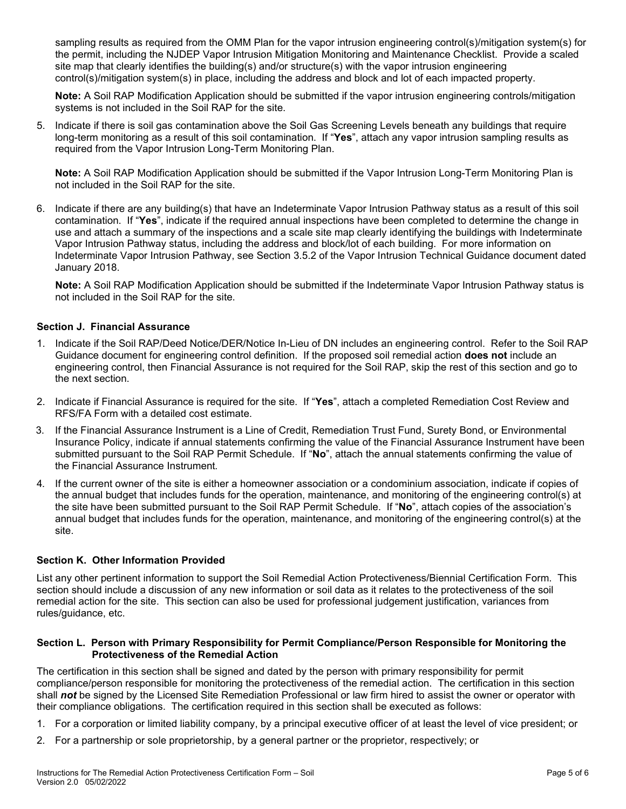sampling results as required from the OMM Plan for the vapor intrusion engineering control(s)/mitigation system(s) for the permit, including the NJDEP Vapor Intrusion Mitigation Monitoring and Maintenance Checklist. Provide a scaled site map that clearly identifies the building(s) and/or structure(s) with the vapor intrusion engineering control(s)/mitigation system(s) in place, including the address and block and lot of each impacted property.

**Note:** A Soil RAP Modification Application should be submitted if the vapor intrusion engineering controls/mitigation systems is not included in the Soil RAP for the site.

5. Indicate if there is soil gas contamination above the Soil Gas Screening Levels beneath any buildings that require long-term monitoring as a result of this soil contamination. If "**Yes**", attach any vapor intrusion sampling results as required from the Vapor Intrusion Long-Term Monitoring Plan.

**Note:** A Soil RAP Modification Application should be submitted if the Vapor Intrusion Long-Term Monitoring Plan is not included in the Soil RAP for the site.

6. Indicate if there are any building(s) that have an Indeterminate Vapor Intrusion Pathway status as a result of this soil contamination. If "**Yes**", indicate if the required annual inspections have been completed to determine the change in use and attach a summary of the inspections and a scale site map clearly identifying the buildings with Indeterminate Vapor Intrusion Pathway status, including the address and block/lot of each building. For more information on Indeterminate Vapor Intrusion Pathway, see Section 3.5.2 of the Vapor Intrusion Technical Guidance document dated January 2018.

**Note:** A Soil RAP Modification Application should be submitted if the Indeterminate Vapor Intrusion Pathway status is not included in the Soil RAP for the site.

### **Section J. Financial Assurance**

- 1. Indicate if the Soil RAP/Deed Notice/DER/Notice In-Lieu of DN includes an engineering control. Refer to the Soil RAP Guidance document for engineering control definition. If the proposed soil remedial action **does not** include an engineering control, then Financial Assurance is not required for the Soil RAP, skip the rest of this section and go to the next section.
- 2. Indicate if Financial Assurance is required for the site. If "**Yes**", attach a completed Remediation Cost Review and RFS/FA Form with a detailed cost estimate.
- 3. If the Financial Assurance Instrument is a Line of Credit, Remediation Trust Fund, Surety Bond, or Environmental Insurance Policy, indicate if annual statements confirming the value of the Financial Assurance Instrument have been submitted pursuant to the Soil RAP Permit Schedule. If "**No**", attach the annual statements confirming the value of the Financial Assurance Instrument*.*
- 4*.* If the current owner of the site is either a homeowner association or a condominium association, indicate if copies of the annual budget that includes funds for the operation, maintenance, and monitoring of the engineering control(s) at the site have been submitted pursuant to the Soil RAP Permit Schedule. If "**No**", attach copies of the association's annual budget that includes funds for the operation, maintenance, and monitoring of the engineering control(s) at the site.

#### **Section K. Other Information Provided**

List any other pertinent information to support the Soil Remedial Action Protectiveness/Biennial Certification Form. This section should include a discussion of any new information or soil data as it relates to the protectiveness of the soil remedial action for the site. This section can also be used for professional judgement justification, variances from rules/guidance, etc.

#### **Section L. Person with Primary Responsibility for Permit Compliance/Person Responsible for Monitoring the Protectiveness of the Remedial Action**

The certification in this section shall be signed and dated by the person with primary responsibility for permit compliance/person responsible for monitoring the protectiveness of the remedial action. The certification in this section shall *not* be signed by the Licensed Site Remediation Professional or law firm hired to assist the owner or operator with their compliance obligations. The certification required in this section shall be executed as follows:

- 1. For a corporation or limited liability company, by a principal executive officer of at least the level of vice president; or
- 2. For a partnership or sole proprietorship, by a general partner or the proprietor, respectively; or